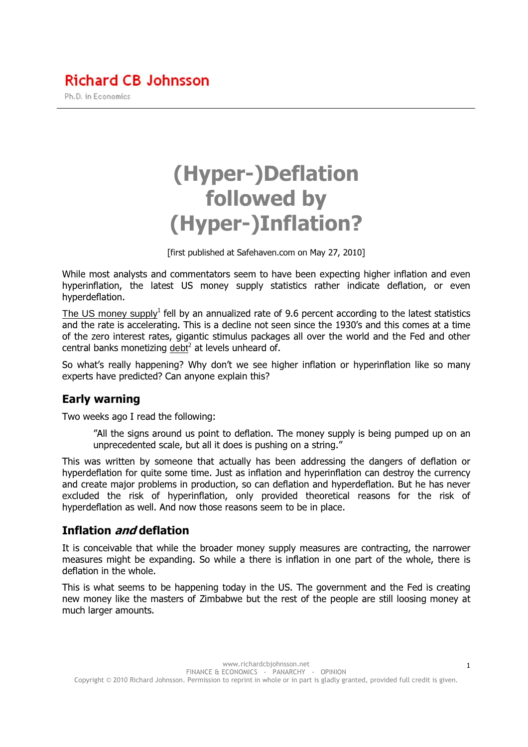# **Richard CB Johnsson**

Ph.D. in Economics

# (Hyper-)Deflation followed by (Hyper-)Inflation?

[first published at Safehaven.com on May 27, 2010]

While most analysts and commentators seem to have been expecting higher inflation and even hyperinflation, the latest US money supply statistics rather indicate deflation, or even hyperdeflation.

The US money supply<sup>1</sup> fell by an annualized rate of 9.6 percent according to the latest statistics and the rate is accelerating. This is a decline not seen since the 1930's and this comes at a time of the zero interest rates, gigantic stimulus packages all over the world and the Fed and other central banks monetizing  $\frac{debt^2}{dt}$  at levels unheard of.

So what's really happening? Why don't we see higher inflation or hyperinflation like so many experts have predicted? Can anyone explain this?

### Early warning

Two weeks ago I read the following:

"All the signs around us point to deflation. The money supply is being pumped up on an unprecedented scale, but all it does is pushing on a string."

This was written by someone that actually has been addressing the dangers of deflation or hyperdeflation for quite some time. Just as inflation and hyperinflation can destroy the currency and create major problems in production, so can deflation and hyperdeflation. But he has never excluded the risk of hyperinflation, only provided theoretical reasons for the risk of hyperdeflation as well. And now those reasons seem to be in place.

#### Inflation and deflation

It is conceivable that while the broader money supply measures are contracting, the narrower measures might be expanding. So while a there is inflation in one part of the whole, there is deflation in the whole.

This is what seems to be happening today in the US. The government and the Fed is creating new money like the masters of Zimbabwe but the rest of the people are still loosing money at much larger amounts.